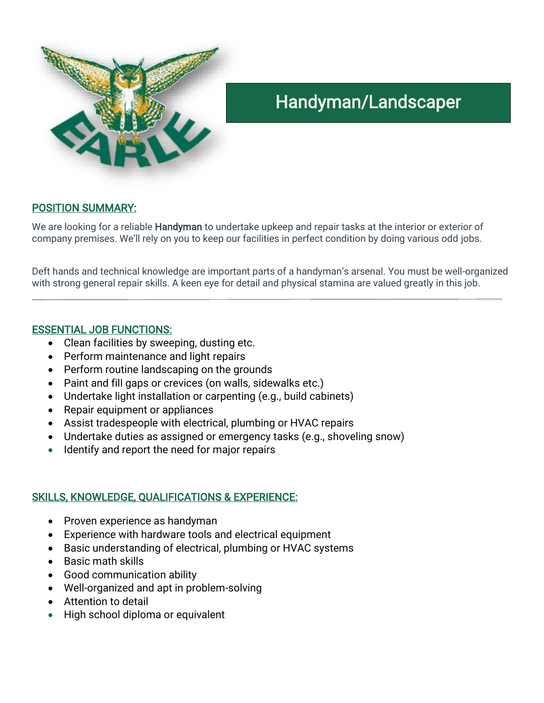

# Handyman/Landscaper

#### POSITION SUMMARY:

We are looking for a reliable Handyman to undertake upkeep and repair tasks at the interior or exterior of company premises. We'll rely on you to keep our facilities in perfect condition by doing various odd jobs.

Deft hands and technical knowledge are important parts of a handyman's arsenal. You must be well-organized with strong general repair skills. A keen eye for detail and physical stamina are valued greatly in this job.

#### ESSENTIAL JOB FUNCTIONS:

- Clean facilities by sweeping, dusting etc.
- Perform maintenance and light repairs
- Perform routine landscaping on the grounds
- Paint and fill gaps or crevices (on walls, sidewalks etc.)
- Undertake light installation or carpenting (e.g., build cabinets)
- Repair equipment or appliances
- Assist tradespeople with electrical, plumbing or HVAC repairs
- Undertake duties as assigned or emergency tasks (e.g., shoveling snow)
- Identify and report the need for major repairs

### SKILLS, KNOWLEDGE, QUALIFICATIONS & EXPERIENCE:

- Proven experience as handyman
- Experience with hardware tools and electrical equipment
- Basic understanding of electrical, plumbing or HVAC systems
- Basic math skills
- Good communication ability
- Well-organized and apt in problem-solving
- Attention to detail
- High school diploma or equivalent